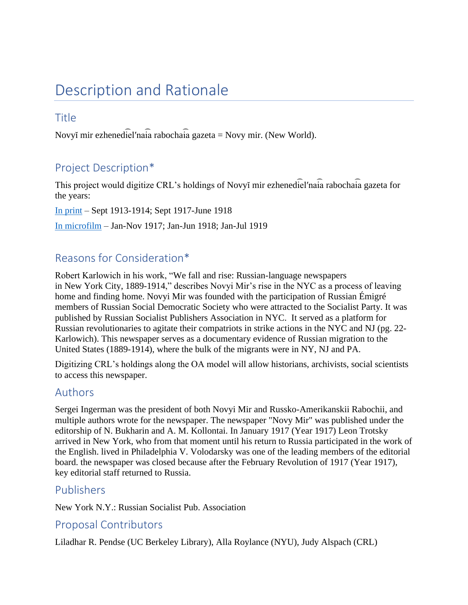# Description and Rationale

### **Title**

Novyĭ mir ezhenediel'naia rabochaia gazeta = Novy mir. (New World).

# Project Description\*

This project would digitize CRL's holdings of Novyĭ mir ezhenediel'naia rabochaia gazeta for the years:

[In print](http://catalog.crl.edu/record=b1272991~S1) – Sept 1913-1914; Sept 1917-June 1918 [In microfilm](http://catalog.crl.edu/record=b1272991~S1) – Jan-Nov 1917; Jan-Jun 1918; Jan-Jul 1919

### Reasons for Consideration\*

Robert Karlowich in his work, "We fall and rise: Russian-language newspapers in New York City, 1889-1914," describes Novyi Mir's rise in the NYC as a process of leaving home and finding home. Novyi Mir was founded with the participation of Russian Émigré members of Russian Social Democratic Society who were attracted to the Socialist Party. It was published by Russian Socialist Publishers Association in NYC. It served as a platform for Russian revolutionaries to agitate their compatriots in strike actions in the NYC and NJ (pg. 22- Karlowich). This newspaper serves as a documentary evidence of Russian migration to the United States (1889-1914), where the bulk of the migrants were in NY, NJ and PA.

Digitizing CRL's holdings along the OA model will allow historians, archivists, social scientists to access this newspaper.

### Authors

Sergei Ingerman was the president of both Novyi Mir and Russko-Amerikanskii Rabochii, and multiple authors wrote for the newspaper. The newspaper "Novy Mir" was published under the editorship of N. Bukharin and A. M. Kollontai. In January 1917 (Year 1917) Leon Trotsky arrived in New York, who from that moment until his return to Russia participated in the work of the English. lived in Philadelphia V. Volodarsky was one of the leading members of the editorial board. the newspaper was closed because after the February Revolution of 1917 (Year 1917), key editorial staff returned to Russia.

### Publishers

New York N.Y.: Russian Socialist Pub. Association

### Proposal Contributors

Liladhar R. Pendse (UC Berkeley Library), Alla Roylance (NYU), Judy Alspach (CRL)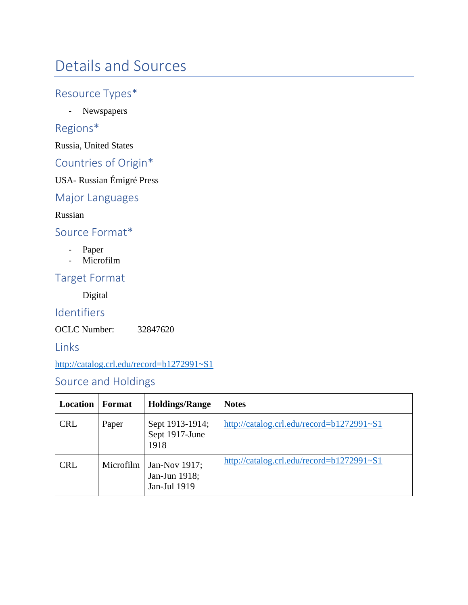# Details and Sources

# Resource Types\*

- Newspapers

# Regions\*

Russia, United States

# Countries of Origin\*

USA- Russian Émigré Press

#### Major Languages

Russian

### Source Format\*

- Paper
- Microfilm

### Target Format

Digital

### Identifiers

OCLC Number: 32847620

### Links

<http://catalog.crl.edu/record=b1272991~S1>

### Source and Holdings

| Location   | Format    | <b>Holdings/Range</b>                          | <b>Notes</b>                              |
|------------|-----------|------------------------------------------------|-------------------------------------------|
| <b>CRL</b> | Paper     | Sept 1913-1914;<br>Sept 1917-June<br>1918      | http://catalog.crl.edu/record=b1272991~S1 |
| <b>CRL</b> | Microfilm | Jan-Nov 1917;<br>Jan-Jun 1918;<br>Jan-Jul 1919 | http://catalog.crl.edu/record=b1272991~S1 |